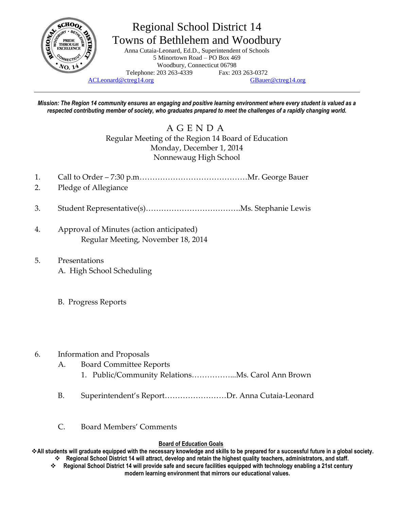

## Regional School District 14 Towns of Bethlehem and Woodbury

Anna Cutaia-Leonard, Ed.D., Superintendent of Schools 5 Minortown Road – PO Box 469 Woodbury, Connecticut 06798 Telephone: 203 263-4339 Fax: 203 263-0372

[ACLeonard@ctreg14.org](mailto:ACLeonard@ctreg14.org) [GBauer@ctreg14.org](mailto:GBauer@ctreg14.org)

*Mission: The Region 14 community ensures an engaging and positive learning environment where every student is valued as a respected contributing member of society, who graduates prepared to meet the challenges of a rapidly changing world.*

> A G E N D A Regular Meeting of the Region 14 Board of Education Monday, December 1, 2014 Nonnewaug High School

- 1. Call to Order 7:30 p.m……………………………………Mr. George Bauer
- 2. Pledge of Allegiance
- 3. Student Representative(s)……………………………….Ms. Stephanie Lewis
- 4. Approval of Minutes (action anticipated) Regular Meeting, November 18, 2014
- 5. Presentations
	- A. High School Scheduling
	- B. Progress Reports
- 6. Information and Proposals
	- A. Board Committee Reports
		- 1. Public/Community Relations……………...Ms. Carol Ann Brown
	- B. Superintendent's Report……………………Dr. Anna Cutaia-Leonard
	- C. Board Members' Comments

## **Board of Education Goals**

**All students will graduate equipped with the necessary knowledge and skills to be prepared for a successful future in a global society. Regional School District 14 will attract, develop and retain the highest quality teachers, administrators, and staff.**

 **Regional School District 14 will provide safe and secure facilities equipped with technology enabling a 21st century modern learning environment that mirrors our educational values.**